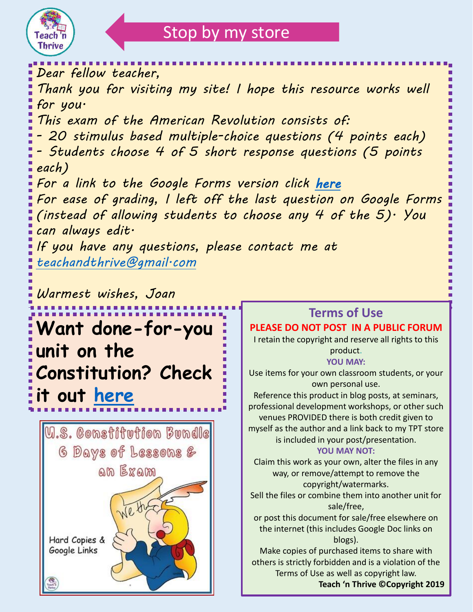

# Stop by my store

*Dear fellow teacher, Thank you for visiting my site! I hope this resource works well for you. This exam of the American Revolution consists of: - 20 stimulus based multiple-choice questions (4 points each)*

*- Students choose 4 of 5 short response questions (5 points each)*

*For a link to the Google Forms version click [here](https://docs.google.com/forms/d/1JmcL9bizZNyMmKdKo9Yil-msFSfrZkAv8ADs5PRmOVc/copy) For ease of grading, I left off the last question on Google Forms (instead of allowing students to choose any 4 of the 5). You can always edit.*

*If you have any questions, please contact me at [teachandthrive@gmail.com](mailto:teachandthrive@gmail.com)*

*Warmest wishes, Joan*

**Want done-for-you unit on the Constitution? Check it out [here](https://www.teacherspayteachers.com/Product/The-US-Constitution-Unit-Bundle-Including-Exam-and-Google-links-for-All-6041587?utm_source=TnT%20exam&utm_campaign=American%20Rev%20exam%20in%20TnT)**



## **Terms of Use**

#### **PLEASE DO NOT POST IN A PUBLIC FORUM**

I retain the copyright and reserve all rights to this product.

**YOU MAY:** 

Use items for your own classroom students, or your own personal use.

Reference this product in blog posts, at seminars, professional development workshops, or other such venues PROVIDED there is both credit given to myself as the author and a link back to my TPT store is included in your post/presentation.

#### **YOU MAY NOT:**

Claim this work as your own, alter the files in any way, or remove/attempt to remove the copyright/watermarks.

Sell the files or combine them into another unit for sale/free,

or post this document for sale/free elsewhere on the internet (this includes Google Doc links on blogs).

Make copies of purchased items to share with others is strictly forbidden and is a violation of the Terms of Use as well as copyright law.

**Teach 'n Thrive ©Copyright 2019**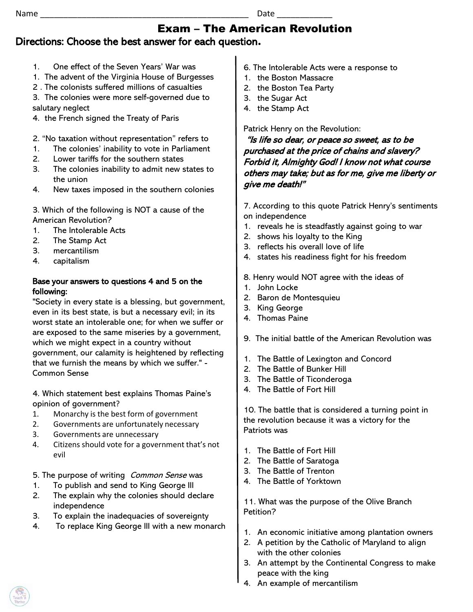#### Exam – The American Revolution Directions: Choose the best answer for each question**.**

- 1. One effect of the Seven Years' War was
- 1. The advent of the Virginia House of Burgesses
- 2 . The colonists suffered millions of casualties

3. The colonies were more self-governed due to salutary neglect

- 4. the French signed the Treaty of Paris
- 2. "No taxation without representation" refers to
- 1. The colonies' inability to vote in Parliament
- 2. Lower tariffs for the southern states
- 3. The colonies inability to admit new states to the union
- 4. New taxes imposed in the southern colonies

3. Which of the following is NOT a cause of the American Revolution?

- 1. The Intolerable Acts
- 2. The Stamp Act
- 3. mercantilism
- 4. capitalism

#### Base your answers to questions 4 and 5 on the following:

"Society in every state is a blessing, but government, even in its best state, is but a necessary evil; in its worst state an intolerable one; for when we suffer or are exposed to the same miseries by a government, which we might expect in a country without government, our calamity is heightened by reflecting that we furnish the means by which we suffer." - Common Sense

4. Which statement best explains Thomas Paine's opinion of government?

- 1. Monarchy is the best form of government
- 2. Governments are unfortunately necessary
- 3. Governments are unnecessary
- 4. Citizens should vote for a government that's not evil

5. The purpose of writing *Common Sense* was

- 1. To publish and send to King George III
- 2. The explain why the colonies should declare independence
- 3. To explain the inadequacies of sovereignty
- 4. To replace King George III with a new monarch
- 6. The Intolerable Acts were a response to
- 1. the Boston Massacre
- 2. the Boston Tea Party
- 3. the Sugar Act
- 4. the Stamp Act

Patrick Henry on the Revolution:

"Is life so dear, or peace so sweet, as to be purchased at the price of chains and slavery? Forbid it, Almighty God! I know not what course others may take; but as for me, give me liberty or give me death!"

7. According to this quote Patrick Henry's sentiments on independence

- 1. reveals he is steadfastly against going to war
- 2. shows his loyalty to the King
- 3. reflects his overall love of life
- 4. states his readiness fight for his freedom
- 8. Henry would NOT agree with the ideas of
- 1. John Locke
- 2. Baron de Montesquieu
- 3. King George
- 4. Thomas Paine
- 9. The initial battle of the American Revolution was
- 1. The Battle of Lexington and Concord
- 2. The Battle of Bunker Hill
- 3. The Battle of Ticonderoga
- 4. The Battle of Fort Hill

10. The battle that is considered a turning point in the revolution because it was a victory for the Patriots was

- 1. The Battle of Fort Hill
- 2. The Battle of Saratoga
- 3. The Battle of Trenton
- 4. The Battle of Yorktown

11. What was the purpose of the Olive Branch Petition?

- 1. An economic initiative among plantation owners
- 2. A petition by the Catholic of Maryland to align with the other colonies
- 3. An attempt by the Continental Congress to make peace with the king
- 4. An example of mercantilism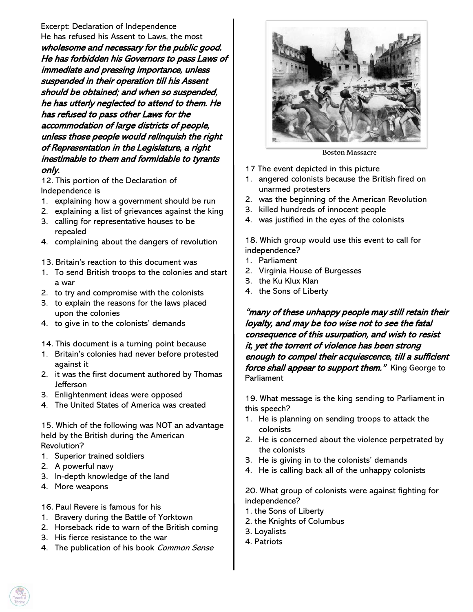Excerpt: Declaration of Independence He has refused his Assent to Laws, the most wholesome and necessary for the public good. He has forbidden his Governors to pass Laws of immediate and pressing importance, unless suspended in their operation till his Assent should be obtained; and when so suspended, he has utterly neglected to attend to them. He has refused to pass other Laws for the accommodation of large districts of people, unless those people would relinquish the right of Representation in the Legislature, a right inestimable to them and formidable to tyrants only.

12. This portion of the Declaration of Independence is

- 1. explaining how a government should be run
- 2. explaining a list of grievances against the king
- 3. calling for representative houses to be repealed
- 4. complaining about the dangers of revolution
- 13. Britain's reaction to this document was
- 1. To send British troops to the colonies and start a war
- 2. to try and compromise with the colonists
- 3. to explain the reasons for the laws placed upon the colonies
- 4. to give in to the colonists' demands
- 14. This document is a turning point because
- 1. Britain's colonies had never before protested against it
- 2. it was the first document authored by Thomas **Jefferson**
- 3. Enlightenment ideas were opposed
- 4. The United States of America was created

15. Which of the following was NOT an advantage held by the British during the American Revolution?

- 1. Superior trained soldiers
- 2. A powerful navy
- 3. In-depth knowledge of the land
- 4. More weapons
- 16. Paul Revere is famous for his
- 1. Bravery during the Battle of Yorktown
- 2. Horseback ride to warn of the British coming
- 3. His fierce resistance to the war
- 4. The publication of his book Common Sense



Boston Massacre

- 17 The event depicted in this picture
- 1. angered colonists because the British fired on unarmed protesters
- 2. was the beginning of the American Revolution
- 3. killed hundreds of innocent people
- 4. was justified in the eyes of the colonists

18. Which group would use this event to call for independence?

- 1. Parliament
- 2. Virginia House of Burgesses
- 3. the Ku Klux Klan
- 4. the Sons of Liberty

"many of these unhappy people may still retain their loyalty, and may be too wise not to see the fatal consequence of this usurpation, and wish to resist it, yet the torrent of violence has been strong enough to compel their acquiescence, till a sufficient force shall appear to support them." King George to Parliament

19. What message is the king sending to Parliament in this speech?

- 1. He is planning on sending troops to attack the colonists
- 2. He is concerned about the violence perpetrated by the colonists
- 3. He is giving in to the colonists' demands
- 4. He is calling back all of the unhappy colonists

20. What group of colonists were against fighting for independence?

- 1. the Sons of Liberty
- 2. the Knights of Columbus
- 3. Loyalists
- 4. Patriots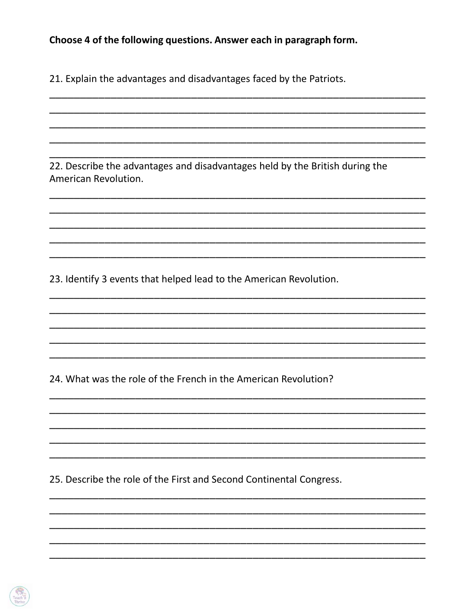### Choose 4 of the following questions. Answer each in paragraph form.

21. Explain the advantages and disadvantages faced by the Patriots.

22. Describe the advantages and disadvantages held by the British during the American Revolution.

23. Identify 3 events that helped lead to the American Revolution.

24. What was the role of the French in the American Revolution?

25. Describe the role of the First and Second Continental Congress.